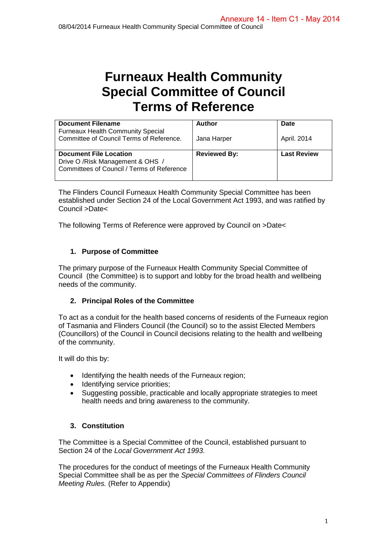# **Furneaux Health Community Special Committee of Council Terms of Reference**

| <b>Document Filename</b><br><b>Furneaux Health Community Special</b>                                             | Author              | Date               |
|------------------------------------------------------------------------------------------------------------------|---------------------|--------------------|
| Committee of Council Terms of Reference.                                                                         | Jana Harper         | April. 2014        |
| <b>Document File Location</b><br>Drive O / Risk Management & OHS /<br>Committees of Council / Terms of Reference | <b>Reviewed By:</b> | <b>Last Review</b> |

The Flinders Council Furneaux Health Community Special Committee has been established under Section 24 of the Local Government Act 1993, and was ratified by Council >Date<

The following Terms of Reference were approved by Council on >Date<

# **1. Purpose of Committee**

The primary purpose of the Furneaux Health Community Special Committee of Council (the Committee) is to support and lobby for the broad health and wellbeing needs of the community.

# **2. Principal Roles of the Committee**

To act as a conduit for the health based concerns of residents of the Furneaux region of Tasmania and Flinders Council (the Council) so to the assist Elected Members (Councillors) of the Council in Council decisions relating to the health and wellbeing of the community.

It will do this by:

- Identifying the health needs of the Furneaux region;
- Identifying service priorities;
- Suggesting possible, practicable and locally appropriate strategies to meet health needs and bring awareness to the community.

# **3. Constitution**

The Committee is a Special Committee of the Council, established pursuant to Section 24 of the *Local Government Act 1993*.

The procedures for the conduct of meetings of the Furneaux Health Community Special Committee shall be as per the *Special Committees of Flinders Council Meeting Rules.* (Refer to Appendix)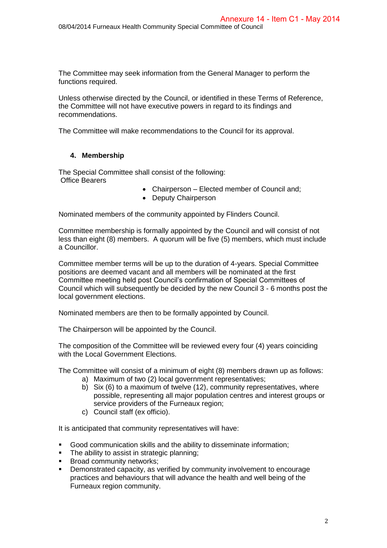The Committee may seek information from the General Manager to perform the functions required.

Unless otherwise directed by the Council, or identified in these Terms of Reference, the Committee will not have executive powers in regard to its findings and recommendations.

The Committee will make recommendations to the Council for its approval.

## **4. Membership**

The Special Committee shall consist of the following: Office Bearers

- Chairperson Elected member of Council and;
- Deputy Chairperson

Nominated members of the community appointed by Flinders Council.

Committee membership is formally appointed by the Council and will consist of not less than eight (8) members. A quorum will be five (5) members, which must include a Councillor.

Committee member terms will be up to the duration of 4-years. Special Committee positions are deemed vacant and all members will be nominated at the first Committee meeting held post Council's confirmation of Special Committees of Council which will subsequently be decided by the new Council 3 - 6 months post the local government elections.

Nominated members are then to be formally appointed by Council.

The Chairperson will be appointed by the Council.

The composition of the Committee will be reviewed every four (4) years coinciding with the Local Government Elections.

The Committee will consist of a minimum of eight (8) members drawn up as follows:

- a) Maximum of two (2) local government representatives;
- b) Six (6) to a maximum of twelve (12), community representatives, where possible, representing all major population centres and interest groups or service providers of the Furneaux region;
- c) Council staff (ex officio).

It is anticipated that community representatives will have:

- Good communication skills and the ability to disseminate information;
- The ability to assist in strategic planning;
- **Broad community networks:**
- Demonstrated capacity, as verified by community involvement to encourage practices and behaviours that will advance the health and well being of the Furneaux region community.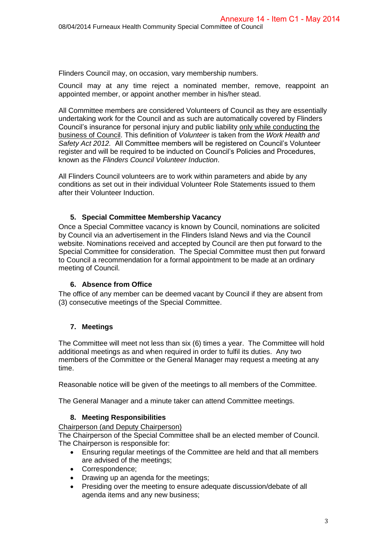Flinders Council may, on occasion, vary membership numbers.

Council may at any time reject a nominated member, remove, reappoint an appointed member, or appoint another member in his/her stead.

All Committee members are considered Volunteers of Council as they are essentially undertaking work for the Council and as such are automatically covered by Flinders Council's insurance for personal injury and public liability only while conducting the business of Council. This definition of *Volunteer* is taken from the *Work Health and Safety Act 2012.* All Committee members will be registered on Council's Volunteer register and will be required to be inducted on Council's Policies and Procedures, known as the *Flinders Council Volunteer Induction*.

All Flinders Council volunteers are to work within parameters and abide by any conditions as set out in their individual Volunteer Role Statements issued to them after their Volunteer Induction.

## **5. Special Committee Membership Vacancy**

Once a Special Committee vacancy is known by Council, nominations are solicited by Council via an advertisement in the Flinders Island News and via the Council website. Nominations received and accepted by Council are then put forward to the Special Committee for consideration. The Special Committee must then put forward to Council a recommendation for a formal appointment to be made at an ordinary meeting of Council.

## **6. Absence from Office**

The office of any member can be deemed vacant by Council if they are absent from (3) consecutive meetings of the Special Committee.

## **7. Meetings**

The Committee will meet not less than six (6) times a year. The Committee will hold additional meetings as and when required in order to fulfil its duties. Any two members of the Committee or the General Manager may request a meeting at any time.

Reasonable notice will be given of the meetings to all members of the Committee.

The General Manager and a minute taker can attend Committee meetings.

#### **8. Meeting Responsibilities**

Chairperson (and Deputy Chairperson)

The Chairperson of the Special Committee shall be an elected member of Council. The Chairperson is responsible for:

- Ensuring regular meetings of the Committee are held and that all members are advised of the meetings;
- Correspondence;
- Drawing up an agenda for the meetings;
- Presiding over the meeting to ensure adequate discussion/debate of all agenda items and any new business;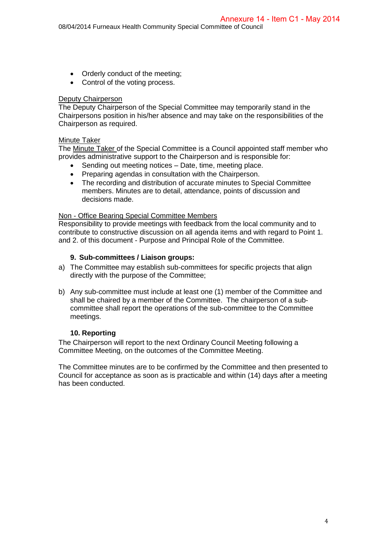- Orderly conduct of the meeting;
- Control of the voting process.

# **Deputy Chairperson**

The Deputy Chairperson of the Special Committee may temporarily stand in the Chairpersons position in his/her absence and may take on the responsibilities of the Chairperson as required.

## Minute Taker

The Minute Taker of the Special Committee is a Council appointed staff member who provides administrative support to the Chairperson and is responsible for:

- Sending out meeting notices Date, time, meeting place.
- Preparing agendas in consultation with the Chairperson.
- The recording and distribution of accurate minutes to Special Committee members. Minutes are to detail, attendance, points of discussion and decisions made.

#### Non - Office Bearing Special Committee Members

Responsibility to provide meetings with feedback from the local community and to contribute to constructive discussion on all agenda items and with regard to Point 1. and 2. of this document - Purpose and Principal Role of the Committee.

## **9. Sub-committees / Liaison groups:**

- a) The Committee may establish sub-committees for specific projects that align directly with the purpose of the Committee;
- b) Any sub-committee must include at least one (1) member of the Committee and shall be chaired by a member of the Committee. The chairperson of a subcommittee shall report the operations of the sub-committee to the Committee meetings.

## **10. Reporting**

The Chairperson will report to the next Ordinary Council Meeting following a Committee Meeting, on the outcomes of the Committee Meeting.

The Committee minutes are to be confirmed by the Committee and then presented to Council for acceptance as soon as is practicable and within (14) days after a meeting has been conducted.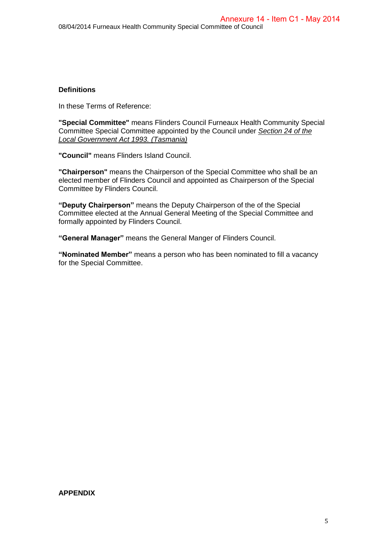## **Definitions**

In these Terms of Reference:

**"Special Committee"** means Flinders Council Furneaux Health Community Special Committee Special Committee appointed by the Council under *Section 24 of the Local Government Act 1993. (Tasmania)*

**"Council"** means Flinders Island Council.

**"Chairperson"** means the Chairperson of the Special Committee who shall be an elected member of Flinders Council and appointed as Chairperson of the Special Committee by Flinders Council.

**"Deputy Chairperson"** means the Deputy Chairperson of the of the Special Committee elected at the Annual General Meeting of the Special Committee and formally appointed by Flinders Council.

**"General Manager"** means the General Manger of Flinders Council.

**"Nominated Member"** means a person who has been nominated to fill a vacancy for the Special Committee.

#### **APPENDIX**